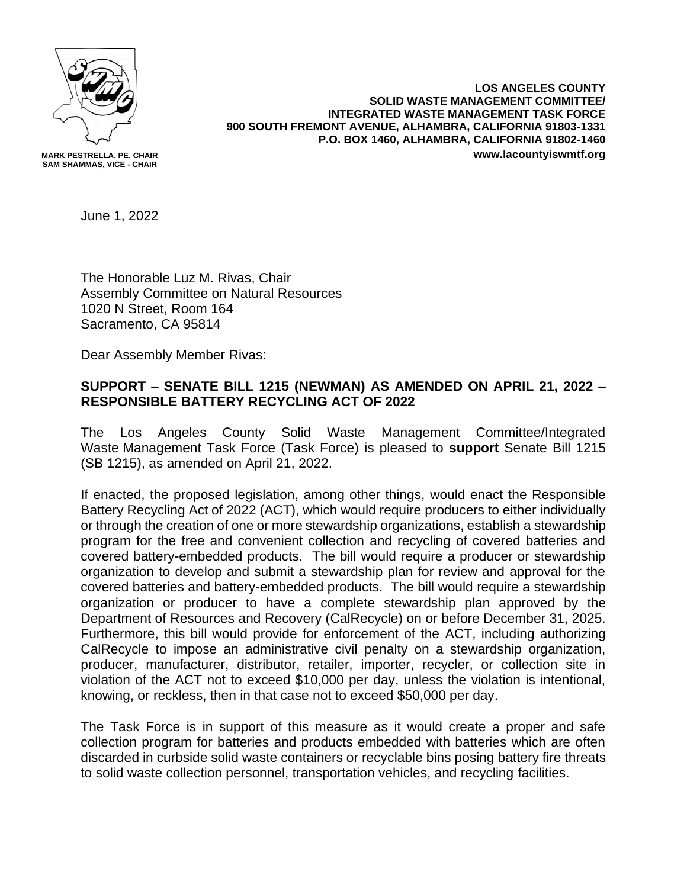

**LOS ANGELES COUNTY SOLID WASTE MANAGEMENT COMMITTEE/ INTEGRATED WASTE MANAGEMENT TASK FORCE 900 SOUTH FREMONT AVENUE, ALHAMBRA, CALIFORNIA 91803-1331 P.O. BOX 1460, ALHAMBRA, CALIFORNIA 91802-1460 www.lacountyiswmtf.org**

June 1, 2022

The Honorable Luz M. Rivas, Chair Assembly Committee on Natural Resources 1020 N Street, Room 164 Sacramento, CA 95814

Dear Assembly Member Rivas:

## **SUPPORT – SENATE BILL 1215 (NEWMAN) AS AMENDED ON APRIL 21, 2022 – RESPONSIBLE BATTERY RECYCLING ACT OF 2022**

The Los Angeles County Solid Waste Management Committee/Integrated Waste Management Task Force (Task Force) is pleased to **support** Senate Bill 1215 (SB 1215), as amended on April 21, 2022.

If enacted, the proposed legislation, among other things, would enact the Responsible Battery Recycling Act of 2022 (ACT), which would require producers to either individually or through the creation of one or more stewardship organizations, establish a stewardship program for the free and convenient collection and recycling of covered batteries and covered battery-embedded products. The bill would require a producer or stewardship organization to develop and submit a stewardship plan for review and approval for the covered batteries and battery-embedded products. The bill would require a stewardship organization or producer to have a complete stewardship plan approved by the Department of Resources and Recovery (CalRecycle) on or before December 31, 2025. Furthermore, this bill would provide for enforcement of the ACT, including authorizing CalRecycle to impose an administrative civil penalty on a stewardship organization, producer, manufacturer, distributor, retailer, importer, recycler, or collection site in violation of the ACT not to exceed \$10,000 per day, unless the violation is intentional, knowing, or reckless, then in that case not to exceed \$50,000 per day.

The Task Force is in support of this measure as it would create a proper and safe collection program for batteries and products embedded with batteries which are often discarded in curbside solid waste containers or recyclable bins posing battery fire threats to solid waste collection personnel, transportation vehicles, and recycling facilities.